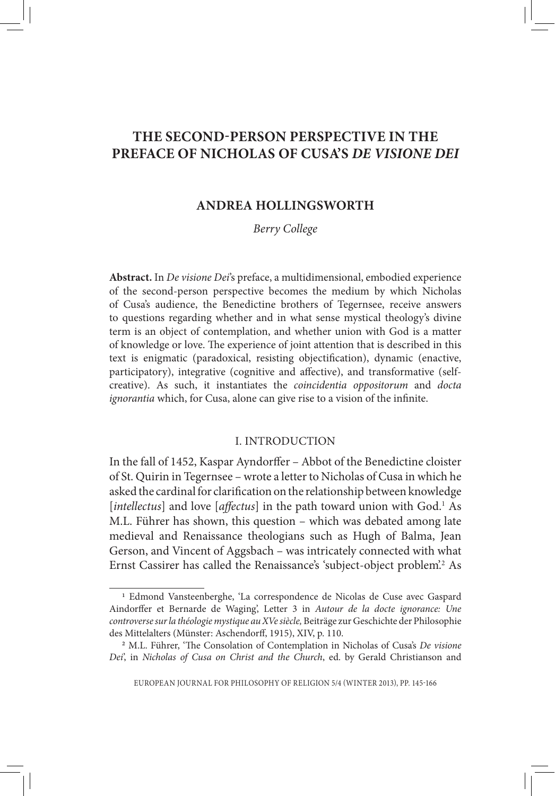# **THE SECOND-PERSON PERSPECTIVE IN THE PREFACE OF NICHOLAS OF CUSA'S** *DE VISIONE DEI*

# **ANDREA HOLLINGSWORTH**

# *Berry College*

**Abstract.** In *De visione Dei*'s preface, a multidimensional, embodied experience of the second-person perspective becomes the medium by which Nicholas of Cusa's audience, the Benedictine brothers of Tegernsee, receive answers to questions regarding whether and in what sense mystical theology's divine term is an object of contemplation, and whether union with God is a matter of knowledge or love. The experience of joint attention that is described in this text is enigmatic (paradoxical, resisting objectification), dynamic (enactive, participatory), integrative (cognitive and affective), and transformative (selfcreative). As such, it instantiates the *coincidentia oppositorum* and *docta ignorantia* which, for Cusa, alone can give rise to a vision of the infinite.

### I. INTRODUCTION

In the fall of 1452, Kaspar Ayndorffer – Abbot of the Benedictine cloister of St. Quirin in Tegernsee – wrote a letter to Nicholas of Cusa in which he asked the cardinal for clarification on the relationship between knowledge [*intellectus*] and love [*affectus*] in the path toward union with God.<sup>1</sup> As M.L. Führer has shown, this question – which was debated among late medieval and Renaissance theologians such as Hugh of Balma, Jean Gerson, and Vincent of Aggsbach – was intricately connected with what Ernst Cassirer has called the Renaissance's 'subject-object problem'.2 As

<sup>1</sup> Edmond Vansteenberghe, 'La correspondence de Nicolas de Cuse avec Gaspard Aindorffer et Bernarde de Waging', Letter 3 in *Autour de la docte ignorance: Une controverse sur la théologie mystique au XVe siècle,* Beiträge zur Geschichte der Philosophie des Mittelalters (Münster: Aschendorff, 1915), XIV, p. 110. <sup>2</sup> M.L. Führer, 'The Consolation of Contemplation in Nicholas of Cusa's *De visione* 

*Dei*', in *Nicholas of Cusa on Christ and the Church*, ed. by Gerald Christianson and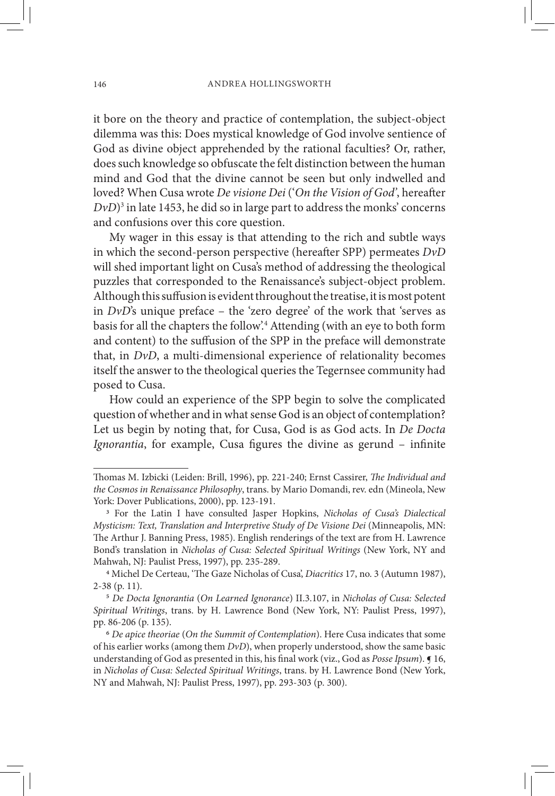it bore on the theory and practice of contemplation, the subject-object dilemma was this: Does mystical knowledge of God involve sentience of God as divine object apprehended by the rational faculties? Or, rather, does such knowledge so obfuscate the felt distinction between the human mind and God that the divine cannot be seen but only indwelled and loved? When Cusa wrote *De visione Dei* ('*On the Vision of God'*, hereafter  $DvD$ <sup>3</sup> in late 1453, he did so in large part to address the monks' concerns and confusions over this core question.

My wager in this essay is that attending to the rich and subtle ways in which the second-person perspective (hereafter SPP) permeates *DvD* will shed important light on Cusa's method of addressing the theological puzzles that corresponded to the Renaissance's subject-object problem. Although this suffusion is evident throughout the treatise, it is most potent in  $DvD$ 's unique preface – the 'zero degree' of the work that 'serves as basis for all the chapters the follow'.4 Attending (with an eye to both form and content) to the suffusion of the SPP in the preface will demonstrate that, in *DvD*, a multi-dimensional experience of relationality becomes itself the answer to the theological queries the Tegernsee community had posed to Cusa.

How could an experience of the SPP begin to solve the complicated question of whether and in what sense God is an object of contemplation? Let us begin by noting that, for Cusa, God is as God acts. In *De Docta Ignorantia*, for example, Cusa figures the divine as gerund – infinite

Thomas M. Izbicki (Leiden: Brill, 1996), pp. 221-240; Ernst Cassirer, *The Individual and the Cosmos in Renaissance Philosophy*, trans. by Mario Domandi, rev. edn (Mineola, New York: Dover Publications, 2000), pp. 123-191.<br><sup>3</sup> For the Latin I have consulted Jasper Hopkins, *Nicholas of Cusa's Dialectical* 

*Mysticism: Text, Translation and Interpretive Study of De Visione Dei* (Minneapolis, MN: The Arthur J. Banning Press, 1985). English renderings of the text are from H. Lawrence Bond's translation in *Nicholas of Cusa: Selected Spiritual Writings* (New York, NY and Mahwah, NJ: Paulist Press, 1997), pp. 235-289.

<sup>4</sup> Michel De Certeau, 'The Gaze Nicholas of Cusa', *Diacritics* 17, no. 3 (Autumn 1987), 2-38 (p. 11). <sup>5</sup> *De Docta Ignorantia* (*On Learned Ignorance*) II.3.107, in *Nicholas of Cusa: Selected* 

*Spiritual Writings*, trans. by H. Lawrence Bond (New York, NY: Paulist Press, 1997), pp. 86-206 (p. 135). <sup>6</sup> *De apice theoriae* (*On the Summit of Contemplation*). Here Cusa indicates that some

of his earlier works (among them *DvD*), when properly understood, show the same basic understanding of God as presented in this, his final work (viz., God as *Posse Ipsum*). ¶ 16, in *Nicholas of Cusa: Selected Spiritual Writings*, trans. by H. Lawrence Bond (New York, NY and Mahwah, NJ: Paulist Press, 1997), pp. 293-303 (p. 300).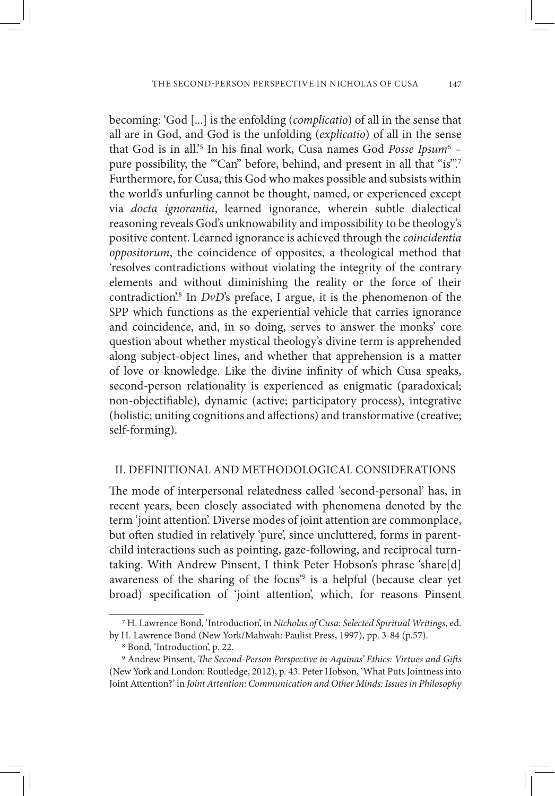becoming: 'God [...] is the enfolding (*complicatio*) of all in the sense that all are in God, and God is the unfolding (*explicatio*) of all in the sense that God is in all.<sup>35</sup> In his final work, Cusa names God Posse Ipsum<sup>6</sup> pure possibility, the "'Can" before, behind, and present in all that "is"'.<sup>7</sup> Furthermore, for Cusa, this God who makes possible and subsists within the world's unfurling cannot be thought, named, or experienced except via *docta ignorantia*, learned ignorance, wherein subtle dialectical reasoning reveals God's unknowability and impossibility to be theology's positive content. Learned ignorance is achieved through the *coincidentia oppositorum*, the coincidence of opposites, a theological method that 'resolves contradictions without violating the integrity of the contrary elements and without diminishing the reality or the force of their contradiction<sup>'</sup>.<sup>8</sup> In *DvD*'s preface, I argue, it is the phenomenon of the SPP which functions as the experiential vehicle that carries ignorance and coincidence, and, in so doing, serves to answer the monks' core question about whether mystical theology's divine term is apprehended along subject-object lines, and whether that apprehension is a matter of love or knowledge. Like the divine infinity of which Cusa speaks, second-person relationality is experienced as enigmatic (paradoxical; non-objectifiable), dynamic (active; participatory process), integrative (holistic; uniting cognitions and affections) and transformative (creative; self-forming).

#### II. DEFINITIONAL AND METHODOLOGICAL CONSIDERATIONS

The mode of interpersonal relatedness called 'second-personal' has, in recent years, been closely associated with phenomena denoted by the term 'joint attention'. Diverse modes of joint attention are commonplace, but often studied in relatively 'pure', since uncluttered, forms in parentchild interactions such as pointing, gaze-following, and reciprocal turntaking. With Andrew Pinsent, I think Peter Hobson's phrase 'share[d] awareness of the sharing of the focus<sup>39</sup> is a helpful (because clear yet broad) specification of 'joint attention', which, for reasons Pinsent

<sup>7</sup> H. Lawrence Bond, 'Introduction', in *Nicholas of Cusa: Selected Spiritual Writings*, ed.

by H. Lawrence Bond (New York/Mahwah: Paulist Press, 1997), pp. 3-84 (p.57).<br><sup>8</sup> Bond, 'Introduction', p. 22.<br><sup>9</sup> Andrew Pinsent, *The Second-Person Perspective in Aquinas' Ethics: Virtues and Gifts* (New York and London: Routledge, 2012), p. 43. Peter Hobson, 'What Puts Jointness into Joint Attention?' in *Joint Attention: Communication and Other Minds: Issues in Philosophy*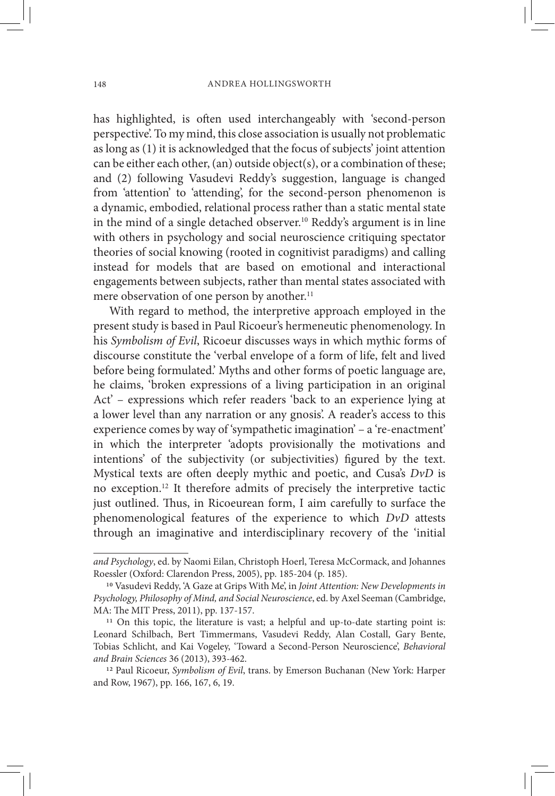has highlighted, is often used interchangeably with 'second-person perspective'. To my mind, this close association is usually not problematic as long as (1) it is acknowledged that the focus of subjects' joint attention can be either each other, (an) outside object(s), or a combination of these; and (2) following Vasudevi Reddy's suggestion, language is changed from 'attention' to 'attending', for the second-person phenomenon is a dynamic, embodied, relational process rather than a static mental state in the mind of a single detached observer.<sup>10</sup> Reddy's argument is in line with others in psychology and social neuroscience critiquing spectator theories of social knowing (rooted in cognitivist paradigms) and calling instead for models that are based on emotional and interactional engagements between subjects, rather than mental states associated with mere observation of one person by another.<sup>11</sup>

With regard to method, the interpretive approach employed in the present study is based in Paul Ricoeur's hermeneutic phenomenology. In his *Symbolism of Evil*, Ricoeur discusses ways in which mythic forms of discourse constitute the 'verbal envelope of a form of life, felt and lived before being formulated.' Myths and other forms of poetic language are, he claims, 'broken expressions of a living participation in an original Act' – expressions which refer readers 'back to an experience lying at a lower level than any narration or any gnosis'. A reader's access to this experience comes by way of 'sympathetic imagination' – a 're-enactment' in which the interpreter 'adopts provisionally the motivations and intentions' of the subjectivity (or subjectivities) figured by the text. Mystical texts are often deeply mythic and poetic, and Cusa's *DvD* is no exception.12 It therefore admits of precisely the interpretive tactic just outlined. Thus, in Ricoeurean form, I aim carefully to surface the phenomenological features of the experience to which *DvD* attests through an imaginative and interdisciplinary recovery of the 'initial

*and Psychology*, ed. by Naomi Eilan, Christoph Hoerl, Teresa McCormack, and Johannes Roessler (Oxford: Clarendon Press, 2005), pp. 185-204 (p. 185). 10 Vasudevi Reddy, 'A Gaze at Grips With Me', in *Joint Attention: New Developments in* 

*Psychology, Philosophy of Mind, and Social Neuroscience*, ed. by Axel Seeman (Cambridge,

<sup>&</sup>lt;sup>11</sup> On this topic, the literature is vast; a helpful and up-to-date starting point is: Leonard Schilbach, Bert Timmermans, Vasudevi Reddy, Alan Costall, Gary Bente, Tobias Schlicht, and Kai Vogeley, 'Toward a Second-Person Neuroscience', *Behavioral and Brain Sciences* 36 (2013), 393-462. 12 Paul Ricoeur, *Symbolism of Evil*, trans. by Emerson Buchanan (New York: Harper

and Row, 1967), pp. 166, 167, 6, 19.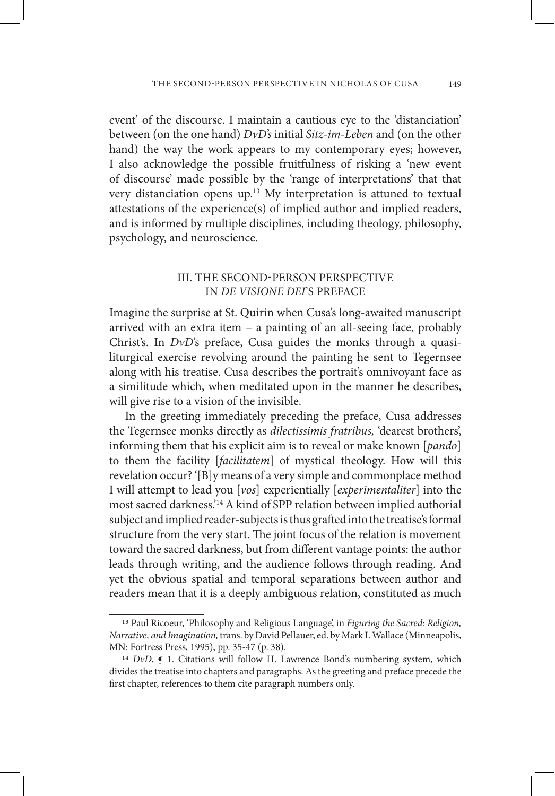event' of the discourse. I maintain a cautious eye to the 'distanciation' between (on the one hand) *DvD's* initial *Sitz-im-Leben* and (on the other hand) the way the work appears to my contemporary eyes; however, I also acknowledge the possible fruitfulness of risking a 'new event of discourse' made possible by the 'range of interpretations' that that very distanciation opens up.13 My interpretation is attuned to textual attestations of the experience(s) of implied author and implied readers, and is informed by multiple disciplines, including theology, philosophy, psychology, and neuroscience.

## III. THE SECOND-PERSON PERSPECTIVE IN *DE VISIONE DEI*'S PREFACE

Imagine the surprise at St. Quirin when Cusa's long-awaited manuscript arrived with an extra item – a painting of an all-seeing face, probably Christ's. In *DvD*'s preface, Cusa guides the monks through a quasiliturgical exercise revolving around the painting he sent to Tegernsee along with his treatise. Cusa describes the portrait's omnivoyant face as a similitude which, when meditated upon in the manner he describes, will give rise to a vision of the invisible.

In the greeting immediately preceding the preface, Cusa addresses the Tegernsee monks directly as *dilectissimis fratribus,* 'dearest brothers', informing them that his explicit aim is to reveal or make known [*pando*] to them the facility [*facilitatem*] of mystical theology. How will this revelation occur? '[B]y means of a very simple and commonplace method I will attempt to lead you [*vos*] experientially [*experimentaliter*] into the most sacred darkness.'14 A kind of SPP relation between implied authorial subject and implied reader-subjects is thus grafted into the treatise's formal structure from the very start. The joint focus of the relation is movement toward the sacred darkness, but from different vantage points: the author leads through writing, and the audience follows through reading. And yet the obvious spatial and temporal separations between author and readers mean that it is a deeply ambiguous relation, constituted as much

<sup>13</sup> Paul Ricoeur, 'Philosophy and Religious Language', in *Figuring the Sacred: Religion, Narrative, and Imagination,* trans. by David Pellauer, ed. by Mark I. Wallace (Minneapolis, MN: Fortress Press, 1995), pp. 35-47 (p. 38).

<sup>&</sup>lt;sup>14</sup> *DvD*, **¶** 1. Citations will follow H. Lawrence Bond's numbering system, which divides the treatise into chapters and paragraphs. As the greeting and preface precede the first chapter, references to them cite paragraph numbers only.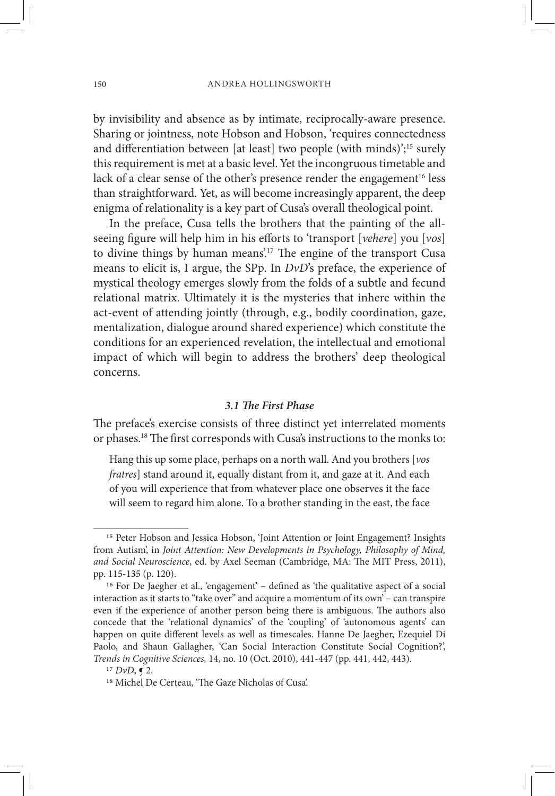by invisibility and absence as by intimate, reciprocally-aware presence. Sharing or jointness, note Hobson and Hobson, 'requires connectedness and differentiation between [at least] two people (with minds)';<sup>15</sup> surely this requirement is met at a basic level. Yet the incongruous timetable and lack of a clear sense of the other's presence render the engagement<sup>16</sup> less than straightforward. Yet, as will become increasingly apparent, the deep enigma of relationality is a key part of Cusa's overall theological point.

In the preface, Cusa tells the brothers that the painting of the allseeing figure will help him in his efforts to 'transport [*vehere*] you [*vos*] to divine things by human means.<sup>17</sup> The engine of the transport Cusa means to elicit is, I argue, the SPp. In *DvD*'s preface, the experience of mystical theology emerges slowly from the folds of a subtle and fecund relational matrix. Ultimately it is the mysteries that inhere within the act-event of attending jointly (through, e.g., bodily coordination, gaze, mentalization, dialogue around shared experience) which constitute the conditions for an experienced revelation, the intellectual and emotional impact of which will begin to address the brothers' deep theological concerns.

## *3.1 The First Phase*

The preface's exercise consists of three distinct yet interrelated moments or phases.18 The first corresponds with Cusa's instructions to the monks to:

Hang this up some place, perhaps on a north wall. And you brothers [*vos fratres*] stand around it, equally distant from it, and gaze at it. And each of you will experience that from whatever place one observes it the face will seem to regard him alone. To a brother standing in the east, the face

<sup>&</sup>lt;sup>15</sup> Peter Hobson and Jessica Hobson, 'Joint Attention or Joint Engagement? Insights from Autism', in *Joint Attention: New Developments in Psychology, Philosophy of Mind, and Social Neuroscience*, ed. by Axel Seeman (Cambridge, MA: The MIT Press, 2011), pp. 115-135 (p. 120).<br><sup>16</sup> For De Jaegher et al., 'engagement' – defined as 'the qualitative aspect of a social

interaction as it starts to "take over" and acquire a momentum of its own' – can transpire even if the experience of another person being there is ambiguous. The authors also concede that the 'relational dynamics' of the 'coupling' of 'autonomous agents' can happen on quite different levels as well as timescales. Hanne De Jaegher, Ezequiel Di Paolo, and Shaun Gallagher, 'Can Social Interaction Constitute Social Cognition?', *Trends in Cognitive Sciences,* 14, no. 10 (Oct. 2010), 441-447 (pp. 441, 442, 443).<br><sup>17</sup> *DvD*, **5** 2.<br><sup>18</sup> Michel De Certeau, 'The Gaze Nicholas of Cusa'.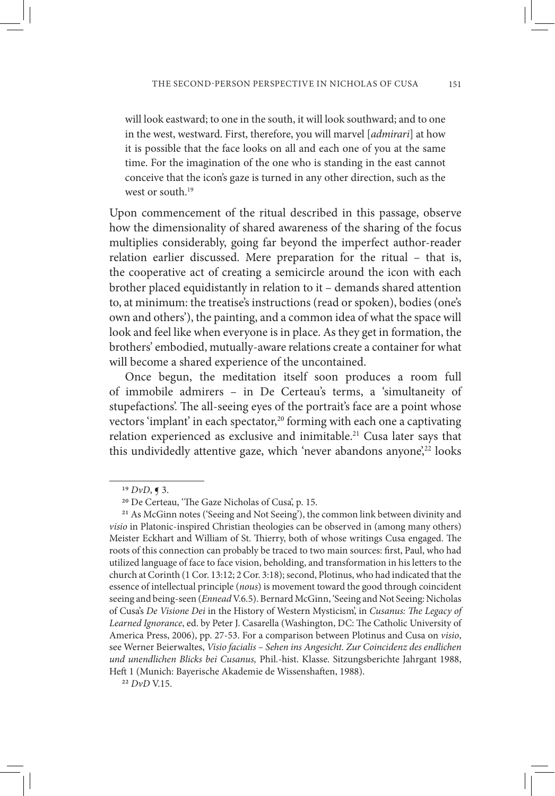will look eastward; to one in the south, it will look southward; and to one in the west, westward. First, therefore, you will marvel [*admirari*] at how it is possible that the face looks on all and each one of you at the same time. For the imagination of the one who is standing in the east cannot conceive that the icon's gaze is turned in any other direction, such as the west or south.<sup>19</sup>

Upon commencement of the ritual described in this passage, observe how the dimensionality of shared awareness of the sharing of the focus multiplies considerably, going far beyond the imperfect author-reader relation earlier discussed. Mere preparation for the ritual – that is, the cooperative act of creating a semicircle around the icon with each brother placed equidistantly in relation to it – demands shared attention to, at minimum: the treatise's instructions (read or spoken), bodies (one's own and others'), the painting, and a common idea of what the space will look and feel like when everyone is in place. As they get in formation, the brothers' embodied, mutually-aware relations create a container for what will become a shared experience of the uncontained.

Once begun, the meditation itself soon produces a room full of immobile admirers – in De Certeau's terms, a 'simultaneity of stupefactions'. The all-seeing eyes of the portrait's face are a point whose vectors 'implant' in each spectator,<sup>20</sup> forming with each one a captivating relation experienced as exclusive and inimitable.<sup>21</sup> Cusa later says that this undividedly attentive gaze, which 'never abandons anyone',<sup>22</sup> looks

<sup>&</sup>lt;sup>19</sup> *DvD*, **¶** 3.<br><sup>20</sup> De Certeau, 'The Gaze Nicholas of Cusa', p. 15.

<sup>21</sup> As McGinn notes ('Seeing and Not Seeing'), the common link between divinity and *visio* in Platonic-inspired Christian theologies can be observed in (among many others) Meister Eckhart and William of St. Thierry, both of whose writings Cusa engaged. The roots of this connection can probably be traced to two main sources: first, Paul, who had utilized language of face to face vision, beholding, and transformation in his letters to the church at Corinth (1 Cor. 13:12; 2 Cor. 3:18); second, Plotinus, who had indicated that the essence of intellectual principle (*nous*) is movement toward the good through coincident seeing and being-seen (*Ennead* V.6.5). Bernard McGinn, 'Seeing and Not Seeing: Nicholas of Cusa's *De Visione Dei* in the History of Western Mysticism', in *Cusanus: The Legacy of Learned Ignorance*, ed. by Peter J. Casarella (Washington, DC: The Catholic University of America Press, 2006), pp. 27-53. For a comparison between Plotinus and Cusa on *visio*, see Werner Beierwaltes, *Visio facialis – Sehen ins Angesicht. Zur Coincidenz des endlichen und unendlichen Blicks bei Cusanus,* Phil.-hist. Klasse. Sitzungsberichte Jahrgant 1988, Heft 1 (Munich: Bayerische Akademie de Wissenshaften, 1988). <sup>22</sup> *DvD* V.15.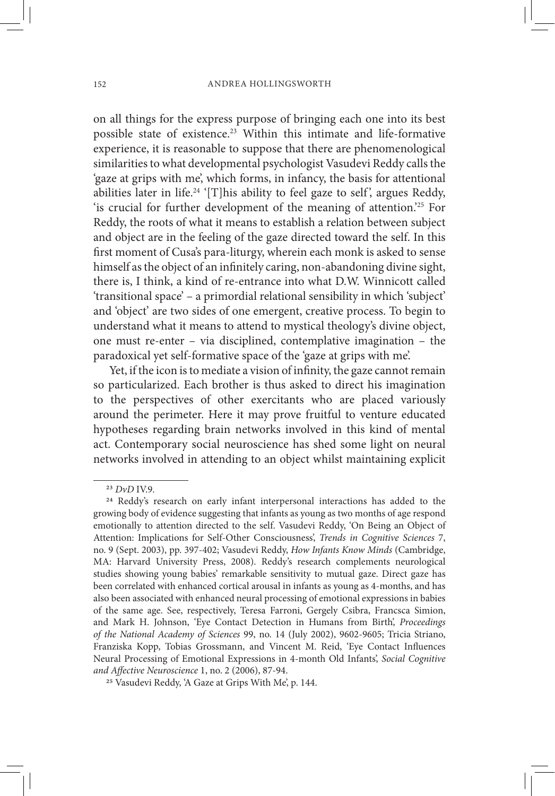on all things for the express purpose of bringing each one into its best possible state of existence.23 Within this intimate and life-formative experience, it is reasonable to suppose that there are phenomenological similarities to what developmental psychologist Vasudevi Reddy calls the 'gaze at grips with me', which forms, in infancy, the basis for attentional abilities later in life.<sup>24</sup> '[T]his ability to feel gaze to self', argues Reddy, 'is crucial for further development of the meaning of attention.'25 For Reddy, the roots of what it means to establish a relation between subject and object are in the feeling of the gaze directed toward the self. In this first moment of Cusa's para-liturgy, wherein each monk is asked to sense himself as the object of an infinitely caring, non-abandoning divine sight, there is, I think, a kind of re-entrance into what D.W. Winnicott called 'transitional space' – a primordial relational sensibility in which 'subject' and 'object' are two sides of one emergent, creative process. To begin to understand what it means to attend to mystical theology's divine object, one must re-enter – via disciplined, contemplative imagination – the paradoxical yet self-formative space of the 'gaze at grips with me'.

Yet, if the icon is to mediate a vision of infinity, the gaze cannot remain so particularized. Each brother is thus asked to direct his imagination to the perspectives of other exercitants who are placed variously around the perimeter. Here it may prove fruitful to venture educated hypotheses regarding brain networks involved in this kind of mental act. Contemporary social neuroscience has shed some light on neural networks involved in attending to an object whilst maintaining explicit

<sup>&</sup>lt;sup>23</sup> *DvD* IV.9.<br><sup>24</sup> Reddy's research on early infant interpersonal interactions has added to the growing body of evidence suggesting that infants as young as two months of age respond emotionally to attention directed to the self. Vasudevi Reddy, 'On Being an Object of Attention: Implications for Self-Other Consciousness', *Trends in Cognitive Sciences* 7, no. 9 (Sept. 2003), pp. 397-402; Vasudevi Reddy, *How Infants Know Minds* (Cambridge, MA: Harvard University Press, 2008). Reddy's research complements neurological studies showing young babies' remarkable sensitivity to mutual gaze. Direct gaze has been correlated with enhanced cortical arousal in infants as young as 4-months, and has also been associated with enhanced neural processing of emotional expressions in babies of the same age. See, respectively, Teresa Farroni, Gergely Csibra, Francsca Simion, and Mark H. Johnson, 'Eye Contact Detection in Humans from Birth', *Proceedings of the National Academy of Sciences* 99, no. 14 (July 2002), 9602-9605; Tricia Striano, Franziska Kopp, Tobias Grossmann, and Vincent M. Reid, 'Eye Contact Influences Neural Processing of Emotional Expressions in 4-month Old Infants', *Social Cognitive* 

<sup>&</sup>lt;sup>25</sup> Vasudevi Reddy, 'A Gaze at Grips With Me', p. 144.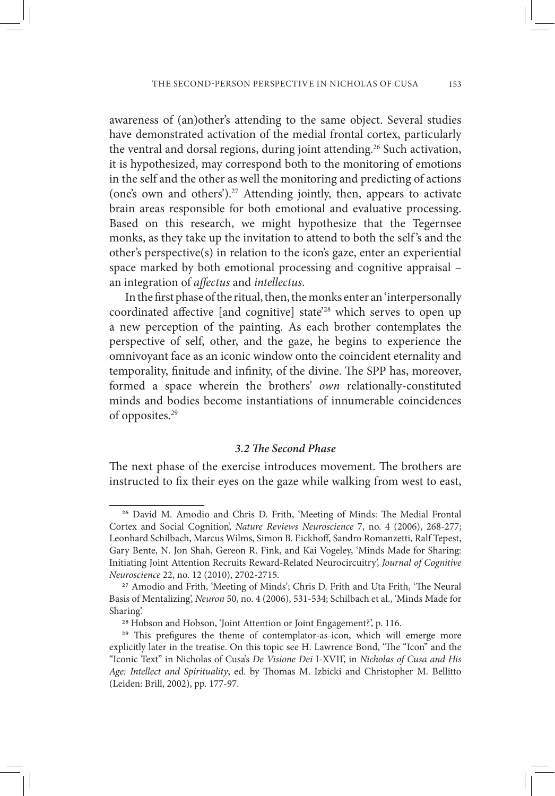awareness of (an)other's attending to the same object. Several studies have demonstrated activation of the medial frontal cortex, particularly the ventral and dorsal regions, during joint attending.<sup>26</sup> Such activation, it is hypothesized, may correspond both to the monitoring of emotions in the self and the other as well the monitoring and predicting of actions (one's own and others').27 Attending jointly, then, appears to activate brain areas responsible for both emotional and evaluative processing. Based on this research, we might hypothesize that the Tegernsee monks, as they take up the invitation to attend to both the self 's and the other's perspective(s) in relation to the icon's gaze, enter an experiential space marked by both emotional processing and cognitive appraisal – an integration of *affectus* and *intellectus*.

In the first phase of the ritual, then, the monks enter an 'interpersonally coordinated affective [and cognitive] state'28 which serves to open up a new perception of the painting. As each brother contemplates the perspective of self, other, and the gaze, he begins to experience the omnivoyant face as an iconic window onto the coincident eternality and temporality, finitude and infinity, of the divine. The SPP has, moreover, formed a space wherein the brothers' *own* relationally-constituted minds and bodies become instantiations of innumerable coincidences of opposites.29

# *3.2 The Second Phase*

The next phase of the exercise introduces movement. The brothers are instructed to fix their eyes on the gaze while walking from west to east,

<sup>26</sup> David M. Amodio and Chris D. Frith, 'Meeting of Minds: The Medial Frontal Cortex and Social Cognition', *Nature Reviews Neuroscience* 7, no. 4 (2006), 268-277; Leonhard Schilbach, Marcus Wilms, Simon B. Eickhoff, Sandro Romanzetti, Ralf Tepest, Gary Bente, N. Jon Shah, Gereon R. Fink, and Kai Vogeley, 'Minds Made for Sharing: Initiating Joint Attention Recruits Reward-Related Neurocircuitry', *Journal of Cognitive Neuroscience* 22, no. 12 (2010), 2702-2715. 27 Amodio and Frith, 'Meeting of Minds'; Chris D. Frith and Uta Frith, 'The Neural

Basis of Mentalizing', *Neuron* 50, no. 4 (2006), 531-534; Schilbach et al., 'Minds Made for Sharing'.<br><sup>28</sup> Hobson and Hobson, 'Joint Attention or Joint Engagement?', p. 116.<br><sup>29</sup> This prefigures the theme of contemplator-as-icon, which will emerge more

explicitly later in the treatise. On this topic see H. Lawrence Bond, 'The "Icon" and the "Iconic Text" in Nicholas of Cusa's *De Visione Dei* I-XVII', in *Nicholas of Cusa and His Age: Intellect and Spirituality*, ed. by Thomas M. Izbicki and Christopher M. Bellitto (Leiden: Brill, 2002), pp. 177-97.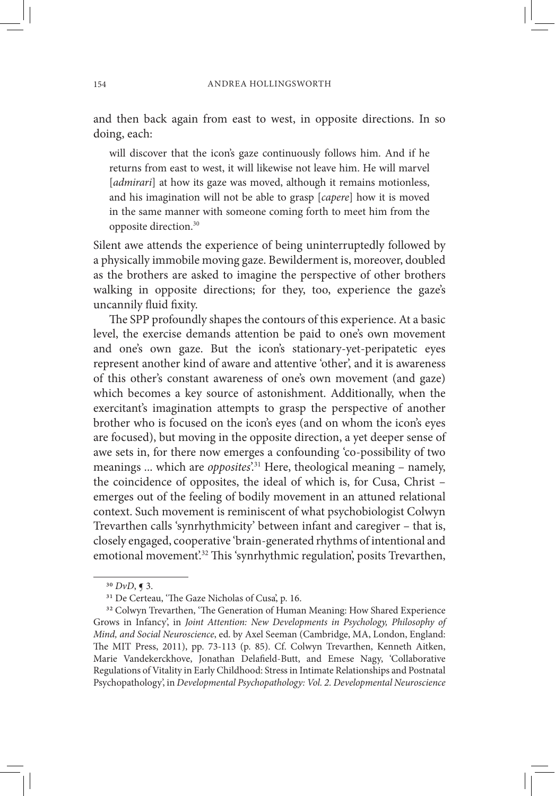and then back again from east to west, in opposite directions. In so doing, each:

will discover that the icon's gaze continuously follows him. And if he returns from east to west, it will likewise not leave him. He will marvel [*admirari*] at how its gaze was moved, although it remains motionless, and his imagination will not be able to grasp [*capere*] how it is moved in the same manner with someone coming forth to meet him from the opposite direction.30

Silent awe attends the experience of being uninterruptedly followed by a physically immobile moving gaze. Bewilderment is, moreover, doubled as the brothers are asked to imagine the perspective of other brothers walking in opposite directions; for they, too, experience the gaze's uncannily fluid fixity.

The SPP profoundly shapes the contours of this experience. At a basic level, the exercise demands attention be paid to one's own movement and one's own gaze. But the icon's stationary-yet-peripatetic eyes represent another kind of aware and attentive 'other', and it is awareness of this other's constant awareness of one's own movement (and gaze) which becomes a key source of astonishment. Additionally, when the exercitant's imagination attempts to grasp the perspective of another brother who is focused on the icon's eyes (and on whom the icon's eyes are focused), but moving in the opposite direction, a yet deeper sense of awe sets in, for there now emerges a confounding 'co-possibility of two meanings ... which are *opposites*<sup>'31</sup> Here, theological meaning – namely, the coincidence of opposites, the ideal of which is, for Cusa, Christ – emerges out of the feeling of bodily movement in an attuned relational context. Such movement is reminiscent of what psychobiologist Colwyn Trevarthen calls 'synrhythmicity' between infant and caregiver – that is, closely engaged, cooperative 'brain-generated rhythms of intentional and emotional movement'.<sup>32</sup> This 'synrhythmic regulation', posits Trevarthen,

<sup>&</sup>lt;sup>30</sup> *DvD*, **[** 3. 31 De Certeau, 'The Gaze Nicholas of Cusa', p. 16.

<sup>&</sup>lt;sup>32</sup> Colwyn Trevarthen, 'The Generation of Human Meaning: How Shared Experience Grows in Infancy', in *Joint Attention: New Developments in Psychology, Philosophy of Mind, and Social Neuroscience*, ed. by Axel Seeman (Cambridge, MA, London, England: The MIT Press, 2011), pp. 73-113 (p. 85). Cf. Colwyn Trevarthen, Kenneth Aitken, Marie Vandekerckhove, Jonathan Delafield-Butt, and Emese Nagy, 'Collaborative Regulations of Vitality in Early Childhood: Stress in Intimate Relationships and Postnatal Psychopathology', in *Developmental Psychopathology: Vol. 2. Developmental Neuroscience*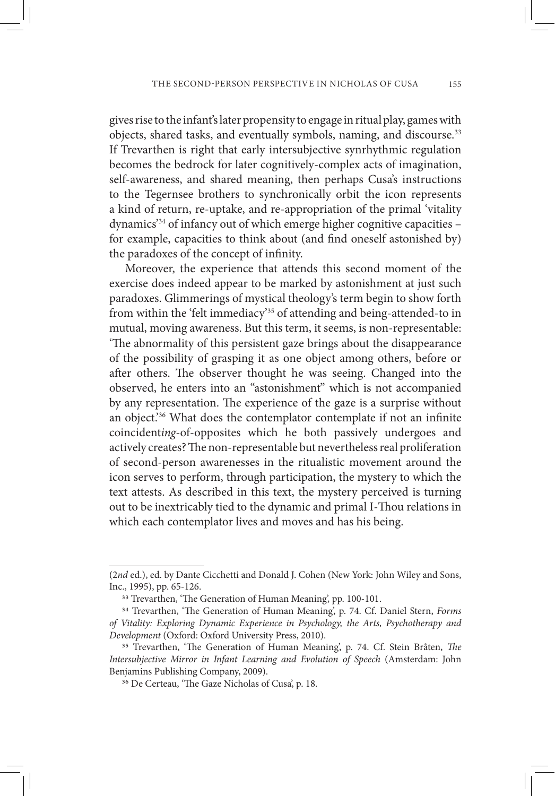gives rise to the infant's later propensity to engage in ritual play, games with objects, shared tasks, and eventually symbols, naming, and discourse.<sup>33</sup> If Trevarthen is right that early intersubjective synrhythmic regulation becomes the bedrock for later cognitively-complex acts of imagination, self-awareness, and shared meaning, then perhaps Cusa's instructions to the Tegernsee brothers to synchronically orbit the icon represents a kind of return, re-uptake, and re-appropriation of the primal 'vitality dynamics'34 of infancy out of which emerge higher cognitive capacities – for example, capacities to think about (and find oneself astonished by) the paradoxes of the concept of infinity.

Moreover, the experience that attends this second moment of the exercise does indeed appear to be marked by astonishment at just such paradoxes. Glimmerings of mystical theology's term begin to show forth from within the 'felt immediacy'35 of attending and being-attended-to in mutual, moving awareness. But this term, it seems, is non-representable: 'The abnormality of this persistent gaze brings about the disappearance of the possibility of grasping it as one object among others, before or after others. The observer thought he was seeing. Changed into the observed, he enters into an "astonishment" which is not accompanied by any representation. The experience of the gaze is a surprise without an object.'36 What does the contemplator contemplate if not an infinite coincident*ing*-of-opposites which he both passively undergoes and actively creates? The non-representable but nevertheless real proliferation of second-person awarenesses in the ritualistic movement around the icon serves to perform, through participation, the mystery to which the text attests. As described in this text, the mystery perceived is turning out to be inextricably tied to the dynamic and primal I-Thou relations in which each contemplator lives and moves and has his being.

<sup>(2</sup>*nd* ed.), ed. by Dante Cicchetti and Donald J. Cohen (New York: John Wiley and Sons,

<sup>&</sup>lt;sup>33</sup> Trevarthen, 'The Generation of Human Meaning', pp. 100-101.<br><sup>34</sup> Trevarthen, 'The Generation of Human Meaning', p. 74. Cf. Daniel Stern, *Forms of Vitality: Exploring Dynamic Experience in Psychology, the Arts, Psychotherapy and Development* (Oxford: Oxford University Press, 2010). 35 Trevarthen, 'The Generation of Human Meaning', p. 74. Cf. Stein Bråten, *The* 

*Intersubjective Mirror in Infant Learning and Evolution of Speech* (Amsterdam: John Benjamins Publishing Company, 2009).

<sup>36</sup> De Certeau, 'The Gaze Nicholas of Cusa', p. 18.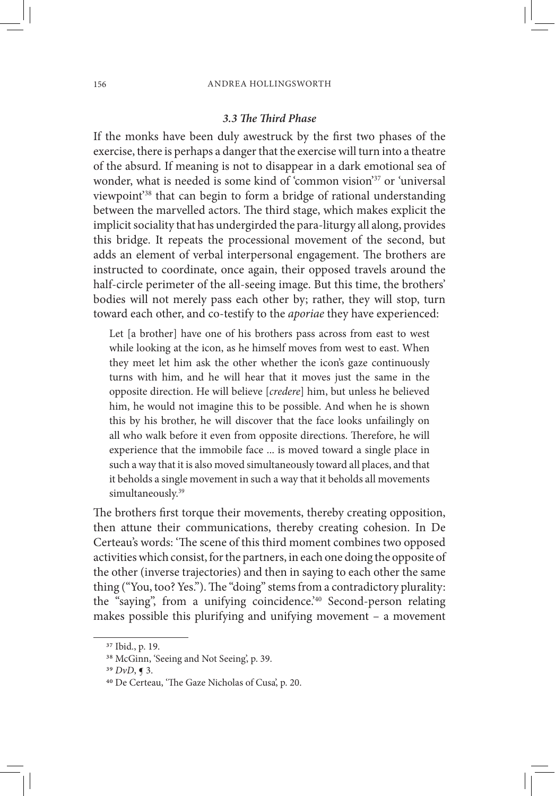#### *3.3 The Third Phase*

If the monks have been duly awestruck by the first two phases of the exercise, there is perhaps a danger that the exercise will turn into a theatre of the absurd. If meaning is not to disappear in a dark emotional sea of wonder, what is needed is some kind of 'common vision'<sup>37</sup> or 'universal viewpoint'38 that can begin to form a bridge of rational understanding between the marvelled actors. The third stage, which makes explicit the implicit sociality that has undergirded the para-liturgy all along, provides this bridge. It repeats the processional movement of the second, but adds an element of verbal interpersonal engagement. The brothers are instructed to coordinate, once again, their opposed travels around the half-circle perimeter of the all-seeing image. But this time, the brothers' bodies will not merely pass each other by; rather, they will stop, turn toward each other, and co-testify to the *aporiae* they have experienced:

Let [a brother] have one of his brothers pass across from east to west while looking at the icon, as he himself moves from west to east. When they meet let him ask the other whether the icon's gaze continuously turns with him, and he will hear that it moves just the same in the opposite direction. He will believe [*credere*] him, but unless he believed him, he would not imagine this to be possible. And when he is shown this by his brother, he will discover that the face looks unfailingly on all who walk before it even from opposite directions. Therefore, he will experience that the immobile face ... is moved toward a single place in such a way that it is also moved simultaneously toward all places, and that it beholds a single movement in such a way that it beholds all movements simultaneously.<sup>39</sup>

The brothers first torque their movements, thereby creating opposition, then attune their communications, thereby creating cohesion. In De Certeau's words: 'The scene of this third moment combines two opposed activities which consist, for the partners, in each one doing the opposite of the other (inverse trajectories) and then in saying to each other the same thing ("You, too? Yes."). The "doing" stems from a contradictory plurality: the "saying", from a unifying coincidence.'40 Second-person relating makes possible this plurifying and unifying movement – a movement

<sup>37</sup> Ibid., p. 19.

<sup>38</sup> McGinn, 'Seeing and Not Seeing', p. 39. <sup>39</sup> *DvD*, ¶ 3. 40 De Certeau, 'The Gaze Nicholas of Cusa', p. 20.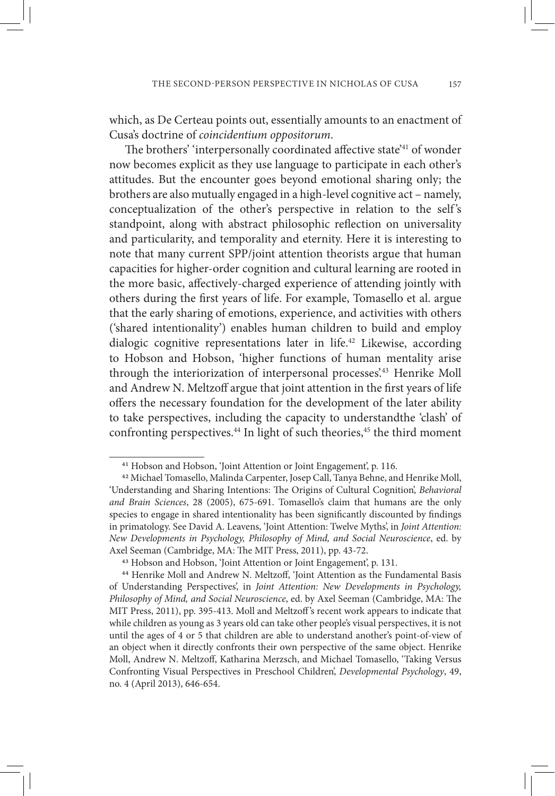which, as De Certeau points out, essentially amounts to an enactment of Cusa's doctrine of *coincidentium oppositorum*.

The brothers' 'interpersonally coordinated affective state'41 of wonder now becomes explicit as they use language to participate in each other's attitudes. But the encounter goes beyond emotional sharing only; the brothers are also mutually engaged in a high-level cognitive act – namely, conceptualization of the other's perspective in relation to the self's standpoint, along with abstract philosophic reflection on universality and particularity, and temporality and eternity. Here it is interesting to note that many current SPP/joint attention theorists argue that human capacities for higher-order cognition and cultural learning are rooted in the more basic, affectively-charged experience of attending jointly with others during the first years of life. For example, Tomasello et al. argue that the early sharing of emotions, experience, and activities with others ('shared intentionality') enables human children to build and employ dialogic cognitive representations later in life.<sup>42</sup> Likewise, according to Hobson and Hobson, 'higher functions of human mentality arise through the interiorization of interpersonal processes'.<sup>43</sup> Henrike Moll and Andrew N. Meltzoff argue that joint attention in the first years of life offers the necessary foundation for the development of the later ability to take perspectives, including the capacity to understandthe 'clash' of confronting perspectives.<sup>44</sup> In light of such theories,<sup>45</sup> the third moment

<sup>&</sup>lt;sup>41</sup> Hobson and Hobson, 'Joint Attention or Joint Engagement', p. 116.<br><sup>42</sup> Michael Tomasello, Malinda Carpenter, Josep Call, Tanya Behne, and Henrike Moll, 'Understanding and Sharing Intentions: The Origins of Cultural Cognition', *Behavioral and Brain Sciences*, 28 (2005), 675-691. Tomasello's claim that humans are the only species to engage in shared intentionality has been significantly discounted by findings in primatology. See David A. Leavens, 'Joint Attention: Twelve Myths', in *Joint Attention: New Developments in Psychology, Philosophy of Mind, and Social Neuroscience*, ed. by Axel Seeman (Cambridge, MA: The MIT Press, 2011), pp. 43-72.<br><sup>43</sup> Hobson and Hobson, 'Joint Attention or Joint Engagement', p. 131.<br><sup>44</sup> Henrike Moll and Andrew N. Meltzoff, 'Joint Attention as the Fundamental Basis

of Understanding Perspectives', in *Joint Attention: New Developments in Psychology, Philosophy of Mind, and Social Neuroscience*, ed. by Axel Seeman (Cambridge, MA: The MIT Press, 2011), pp. 395-413. Moll and Meltzoff 's recent work appears to indicate that while children as young as 3 years old can take other people's visual perspectives, it is not until the ages of 4 or 5 that children are able to understand another's point-of-view of an object when it directly confronts their own perspective of the same object. Henrike Moll, Andrew N. Meltzoff, Katharina Merzsch, and Michael Tomasello, 'Taking Versus Confronting Visual Perspectives in Preschool Children', *Developmental Psychology*, 49, no. 4 (April 2013), 646-654.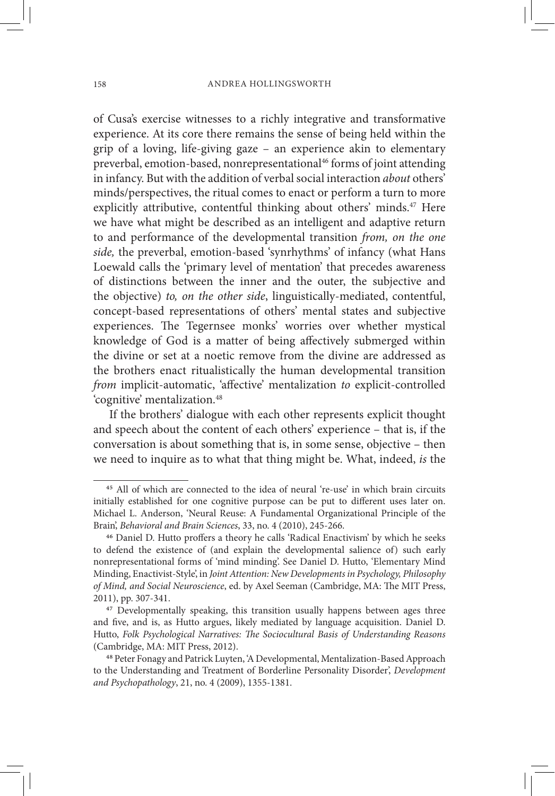of Cusa's exercise witnesses to a richly integrative and transformative experience. At its core there remains the sense of being held within the grip of a loving, life-giving gaze – an experience akin to elementary preverbal, emotion-based, nonrepresentational<sup>46</sup> forms of joint attending in infancy. But with the addition of verbal social interaction *about* others' minds/perspectives, the ritual comes to enact or perform a turn to more explicitly attributive, contentful thinking about others' minds.<sup>47</sup> Here we have what might be described as an intelligent and adaptive return to and performance of the developmental transition *from, on the one side,* the preverbal, emotion-based 'synrhythms' of infancy (what Hans Loewald calls the 'primary level of mentation' that precedes awareness of distinctions between the inner and the outer, the subjective and the objective) *to, on the other side*, linguistically-mediated, contentful, concept-based representations of others' mental states and subjective experiences. The Tegernsee monks' worries over whether mystical knowledge of God is a matter of being affectively submerged within the divine or set at a noetic remove from the divine are addressed as the brothers enact ritualistically the human developmental transition *from* implicit-automatic, 'affective' mentalization *to* explicit-controlled 'cognitive' mentalization.<sup>48</sup>

If the brothers' dialogue with each other represents explicit thought and speech about the content of each others' experience – that is, if the conversation is about something that is, in some sense, objective – then we need to inquire as to what that thing might be. What, indeed, *is* the

<sup>45</sup> All of which are connected to the idea of neural 're-use' in which brain circuits initially established for one cognitive purpose can be put to different uses later on. Michael L. Anderson, 'Neural Reuse: A Fundamental Organizational Principle of the Brain', *Behavioral and Brain Sciences*, 33, no. 4 (2010), 245-266. 46 Daniel D. Hutto proffers a theory he calls 'Radical Enactivism' by which he seeks

to defend the existence of (and explain the developmental salience of) such early nonrepresentational forms of 'mind minding'. See Daniel D. Hutto, 'Elementary Mind Minding, Enactivist-Style', in *Joint Attention: New Developments in Psychology, Philosophy of Mind, and Social Neuroscience*, ed. by Axel Seeman (Cambridge, MA: The MIT Press, 2011), pp. 307-341. 47 Developmentally speaking, this transition usually happens between ages three

and five, and is, as Hutto argues, likely mediated by language acquisition. Daniel D. Hutto, *Folk Psychological Narratives: The Sociocultural Basis of Understanding Reasons* (Cambridge, MA: MIT Press, 2012). 48 Peter Fonagy and Patrick Luyten, 'A Developmental, Mentalization-Based Approach

to the Understanding and Treatment of Borderline Personality Disorder', *Development and Psychopathology*, 21, no. 4 (2009), 1355-1381.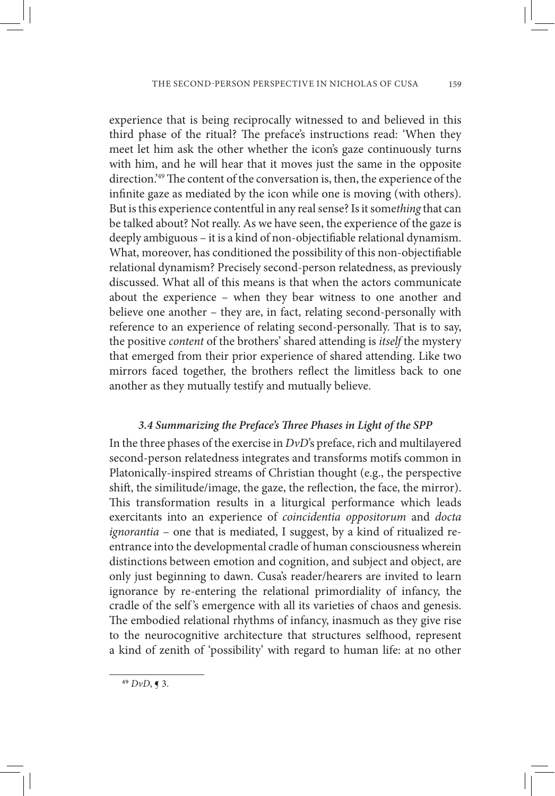experience that is being reciprocally witnessed to and believed in this third phase of the ritual? The preface's instructions read: 'When they meet let him ask the other whether the icon's gaze continuously turns with him, and he will hear that it moves just the same in the opposite direction.'49 The content of the conversation is, then, the experience of the infinite gaze as mediated by the icon while one is moving (with others). But is this experience contentful in any real sense? Is it some*thing* that can be talked about? Not really. As we have seen, the experience of the gaze is deeply ambiguous – it is a kind of non-objectifiable relational dynamism. What, moreover, has conditioned the possibility of this non-objectifiable relational dynamism? Precisely second-person relatedness, as previously discussed. What all of this means is that when the actors communicate about the experience – when they bear witness to one another and believe one another – they are, in fact, relating second-personally with reference to an experience of relating second-personally. That is to say, the positive *content* of the brothers' shared attending is *itself* the mystery that emerged from their prior experience of shared attending. Like two mirrors faced together, the brothers reflect the limitless back to one another as they mutually testify and mutually believe.

# *3.4 Summarizing the Preface's Three Phases in Light of the SPP*

In the three phases of the exercise in *DvD*'s preface, rich and multilayered second-person relatedness integrates and transforms motifs common in Platonically-inspired streams of Christian thought (e.g., the perspective shift, the similitude/image, the gaze, the reflection, the face, the mirror). This transformation results in a liturgical performance which leads exercitants into an experience of *coincidentia oppositorum* and *docta ignorantia* – one that is mediated, I suggest, by a kind of ritualized reentrance into the developmental cradle of human consciousness wherein distinctions between emotion and cognition, and subject and object, are only just beginning to dawn. Cusa's reader/hearers are invited to learn ignorance by re-entering the relational primordiality of infancy, the cradle of the self 's emergence with all its varieties of chaos and genesis. The embodied relational rhythms of infancy, inasmuch as they give rise to the neurocognitive architecture that structures selfhood, represent a kind of zenith of 'possibility' with regard to human life: at no other

<sup>49</sup> *DvD*, ¶ 3.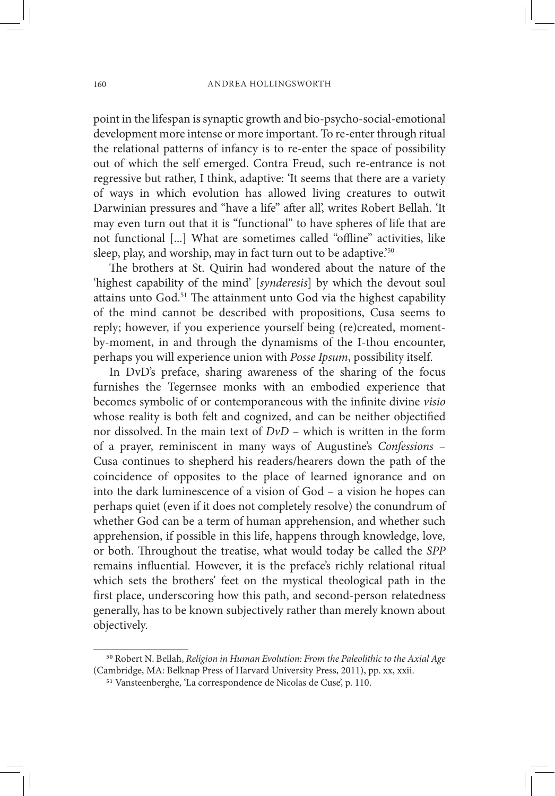point in the lifespan is synaptic growth and bio-psycho-social-emotional development more intense or more important. To re-enter through ritual the relational patterns of infancy is to re-enter the space of possibility out of which the self emerged. Contra Freud, such re-entrance is not regressive but rather, I think, adaptive: 'It seems that there are a variety of ways in which evolution has allowed living creatures to outwit Darwinian pressures and "have a life" after all', writes Robert Bellah. 'It may even turn out that it is "functional" to have spheres of life that are not functional [...] What are sometimes called "offline" activities, like sleep, play, and worship, may in fact turn out to be adaptive.<sup>'50</sup>

The brothers at St. Quirin had wondered about the nature of the 'highest capability of the mind' [*synderesis*] by which the devout soul attains unto God.51 The attainment unto God via the highest capability of the mind cannot be described with propositions, Cusa seems to reply; however, if you experience yourself being (re)created, momentby-moment, in and through the dynamisms of the I-thou encounter, perhaps you will experience union with *Posse Ipsum*, possibility itself.

In DvD's preface, sharing awareness of the sharing of the focus furnishes the Tegernsee monks with an embodied experience that becomes symbolic of or contemporaneous with the infinite divine *visio* whose reality is both felt and cognized, and can be neither objectified nor dissolved. In the main text of *DvD* – which is written in the form of a prayer, reminiscent in many ways of Augustine's *Confessions* – Cusa continues to shepherd his readers/hearers down the path of the coincidence of opposites to the place of learned ignorance and on into the dark luminescence of a vision of God – a vision he hopes can perhaps quiet (even if it does not completely resolve) the conundrum of whether God can be a term of human apprehension, and whether such apprehension, if possible in this life, happens through knowledge, love*,*  or both. Throughout the treatise, what would today be called the *SPP* remains influential*.* However, it is the preface's richly relational ritual which sets the brothers' feet on the mystical theological path in the first place, underscoring how this path, and second-person relatedness generally, has to be known subjectively rather than merely known about objectively.

<sup>50</sup> Robert N. Bellah, *Religion in Human Evolution: From the Paleolithic to the Axial Age* 

<sup>&</sup>lt;sup>51</sup> Vansteenberghe, 'La correspondence de Nicolas de Cuse', p. 110.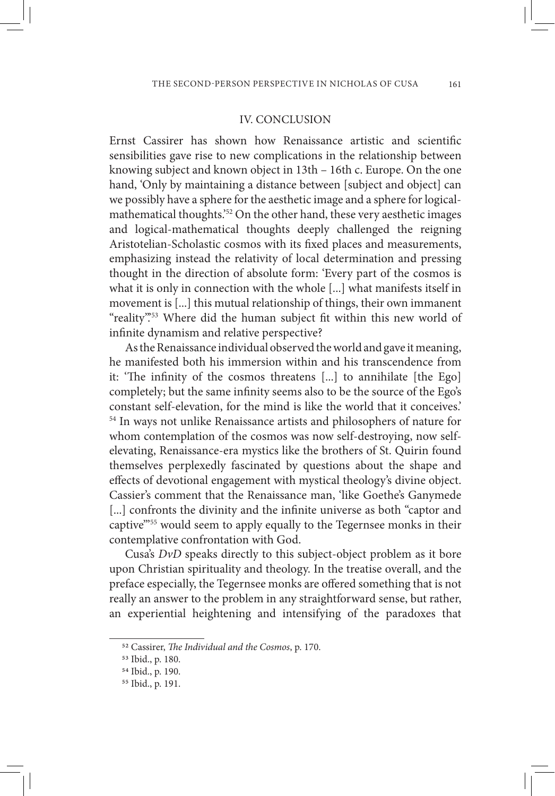#### IV. CONCLUSION

Ernst Cassirer has shown how Renaissance artistic and scientific sensibilities gave rise to new complications in the relationship between knowing subject and known object in 13th – 16th c. Europe. On the one hand, 'Only by maintaining a distance between [subject and object] can we possibly have a sphere for the aesthetic image and a sphere for logicalmathematical thoughts.'52 On the other hand, these very aesthetic images and logical-mathematical thoughts deeply challenged the reigning Aristotelian-Scholastic cosmos with its fixed places and measurements, emphasizing instead the relativity of local determination and pressing thought in the direction of absolute form: 'Every part of the cosmos is what it is only in connection with the whole [...] what manifests itself in movement is [...] this mutual relationship of things, their own immanent "reality".<sup>53</sup> Where did the human subject fit within this new world of infinite dynamism and relative perspective?

As the Renaissance individual observed the world and gave it meaning, he manifested both his immersion within and his transcendence from it: 'The infinity of the cosmos threatens [...] to annihilate [the Ego] completely; but the same infinity seems also to be the source of the Ego's constant self-elevation, for the mind is like the world that it conceives.' 54 In ways not unlike Renaissance artists and philosophers of nature for whom contemplation of the cosmos was now self-destroying, now selfelevating, Renaissance-era mystics like the brothers of St. Quirin found themselves perplexedly fascinated by questions about the shape and effects of devotional engagement with mystical theology's divine object. Cassier's comment that the Renaissance man, 'like Goethe's Ganymede [...] confronts the divinity and the infinite universe as both "captor and captive"<sup>55</sup> would seem to apply equally to the Tegernsee monks in their contemplative confrontation with God.

Cusa's *DvD* speaks directly to this subject-object problem as it bore upon Christian spirituality and theology. In the treatise overall, and the preface especially, the Tegernsee monks are offered something that is not really an answer to the problem in any straightforward sense, but rather, an experiential heightening and intensifying of the paradoxes that

<sup>52</sup> Cassirer, *The Individual and the Cosmos*, p. 170. 53 Ibid., p. 180.

<sup>54</sup> Ibid., p. 190.

<sup>55</sup> Ibid., p. 191.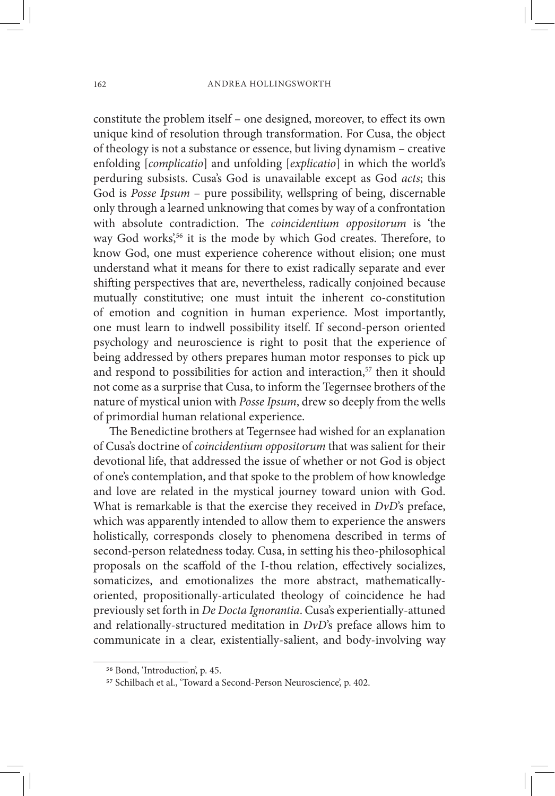constitute the problem itself – one designed, moreover, to effect its own unique kind of resolution through transformation. For Cusa, the object of theology is not a substance or essence, but living dynamism – creative enfolding [*complicatio*] and unfolding [*explicatio*] in which the world's perduring subsists. Cusa's God is unavailable except as God *acts*; this God is *Posse Ipsum* – pure possibility, wellspring of being, discernable only through a learned unknowing that comes by way of a confrontation with absolute contradiction. The *coincidentium oppositorum* is 'the way God works',<sup>56</sup> it is the mode by which God creates. Therefore, to know God, one must experience coherence without elision; one must understand what it means for there to exist radically separate and ever shifting perspectives that are, nevertheless, radically conjoined because mutually constitutive; one must intuit the inherent co-constitution of emotion and cognition in human experience. Most importantly, one must learn to indwell possibility itself. If second-person oriented psychology and neuroscience is right to posit that the experience of being addressed by others prepares human motor responses to pick up and respond to possibilities for action and interaction,<sup>57</sup> then it should not come as a surprise that Cusa, to inform the Tegernsee brothers of the nature of mystical union with *Posse Ipsum*, drew so deeply from the wells of primordial human relational experience.

The Benedictine brothers at Tegernsee had wished for an explanation of Cusa's doctrine of *coincidentium oppositorum* that was salient for their devotional life, that addressed the issue of whether or not God is object of one's contemplation, and that spoke to the problem of how knowledge and love are related in the mystical journey toward union with God. What is remarkable is that the exercise they received in *DvD*'s preface, which was apparently intended to allow them to experience the answers holistically, corresponds closely to phenomena described in terms of second-person relatedness today. Cusa, in setting his theo-philosophical proposals on the scaffold of the I-thou relation, effectively socializes, somaticizes, and emotionalizes the more abstract, mathematicallyoriented, propositionally-articulated theology of coincidence he had previously set forth in *De Docta Ignorantia*. Cusa's experientially-attuned and relationally-structured meditation in *DvD*'s preface allows him to communicate in a clear, existentially-salient, and body-involving way

<sup>&</sup>lt;sup>56</sup> Bond, 'Introduction', p. 45.<br><sup>57</sup> Schilbach et al., 'Toward a Second-Person Neuroscience', p. 402.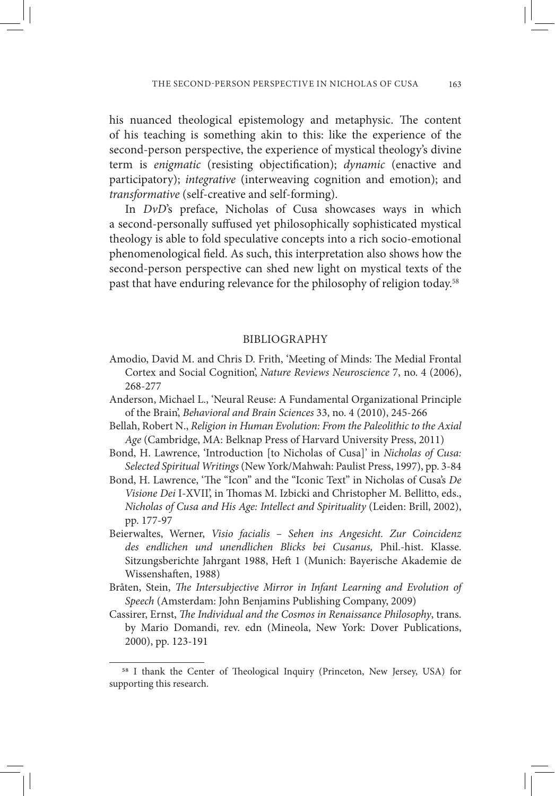his nuanced theological epistemology and metaphysic. The content of his teaching is something akin to this: like the experience of the second-person perspective, the experience of mystical theology's divine term is *enigmatic* (resisting objectification); *dynamic* (enactive and participatory); *integrative* (interweaving cognition and emotion); and *transformative* (self-creative and self-forming).

In *DvD*'s preface, Nicholas of Cusa showcases ways in which a second-personally suffused yet philosophically sophisticated mystical theology is able to fold speculative concepts into a rich socio-emotional phenomenological field. As such, this interpretation also shows how the second-person perspective can shed new light on mystical texts of the past that have enduring relevance for the philosophy of religion today.<sup>58</sup>

#### BIBLIOGRAPHY

- Amodio, David M. and Chris D. Frith, 'Meeting of Minds: The Medial Frontal Cortex and Social Cognition', *Nature Reviews Neuroscience* 7, no. 4 (2006), 268-277
- Anderson, Michael L., 'Neural Reuse: A Fundamental Organizational Principle of the Brain', *Behavioral and Brain Sciences* 33, no. 4 (2010), 245-266
- Bellah, Robert N., *Religion in Human Evolution: From the Paleolithic to the Axial Age* (Cambridge, MA: Belknap Press of Harvard University Press, 2011)
- Bond, H. Lawrence, 'Introduction [to Nicholas of Cusa]' in *Nicholas of Cusa: Selected Spiritual Writings* (New York/Mahwah: Paulist Press, 1997), pp. 3-84
- Bond, H. Lawrence, 'The "Icon" and the "Iconic Text" in Nicholas of Cusa's *De Visione Dei* I-XVII', in Thomas M. Izbicki and Christopher M. Bellitto, eds., *Nicholas of Cusa and His Age: Intellect and Spirituality* (Leiden: Brill, 2002), pp. 177-97
- Beierwaltes, Werner, *Visio facialis Sehen ins Angesicht. Zur Coincidenz des endlichen und unendlichen Blicks bei Cusanus,* Phil.-hist. Klasse. Sitzungsberichte Jahrgant 1988, Heft 1 (Munich: Bayerische Akademie de Wissenshaften, 1988)
- Bråten, Stein, *The Intersubjective Mirror in Infant Learning and Evolution of Speech* (Amsterdam: John Benjamins Publishing Company, 2009)
- Cassirer, Ernst, *The Individual and the Cosmos in Renaissance Philosophy*, trans. by Mario Domandi, rev. edn (Mineola, New York: Dover Publications, 2000), pp. 123-191

<sup>58</sup> I thank the Center of Theological Inquiry (Princeton, New Jersey, USA) for supporting this research.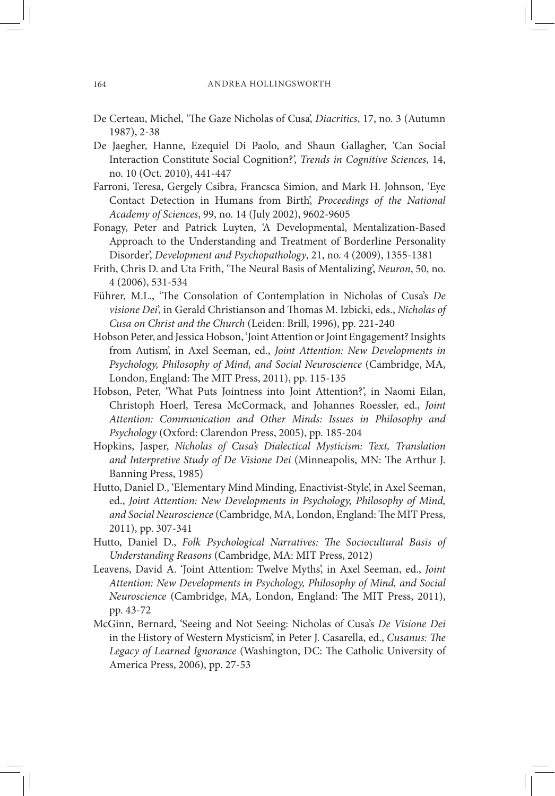- De Certeau, Michel, 'The Gaze Nicholas of Cusa', *Diacritics*, 17, no. 3 (Autumn 1987), 2-38
- De Jaegher, Hanne, Ezequiel Di Paolo, and Shaun Gallagher, 'Can Social Interaction Constitute Social Cognition?', *Trends in Cognitive Sciences*, 14, no. 10 (Oct. 2010), 441-447
- Farroni, Teresa, Gergely Csibra, Francsca Simion, and Mark H. Johnson, 'Eye Contact Detection in Humans from Birth', *Proceedings of the National Academy of Sciences*, 99, no. 14 (July 2002), 9602-9605
- Fonagy, Peter and Patrick Luyten, 'A Developmental, Mentalization-Based Approach to the Understanding and Treatment of Borderline Personality Disorder', *Development and Psychopathology*, 21, no. 4 (2009), 1355-1381
- Frith, Chris D. and Uta Frith, 'The Neural Basis of Mentalizing', *Neuron*, 50, no. 4 (2006), 531-534
- Führer, M.L., 'The Consolation of Contemplation in Nicholas of Cusa's *De visione Dei*', in Gerald Christianson and Thomas M. Izbicki, eds., *Nicholas of Cusa on Christ and the Church* (Leiden: Brill, 1996), pp. 221-240
- Hobson Peter, and Jessica Hobson, 'Joint Attention or Joint Engagement? Insights from Autism', in Axel Seeman, ed., *Joint Attention: New Developments in Psychology, Philosophy of Mind, and Social Neuroscience* (Cambridge, MA, London, England: The MIT Press, 2011), pp. 115-135
- Hobson, Peter, 'What Puts Jointness into Joint Attention?', in Naomi Eilan, Christoph Hoerl, Teresa McCormack, and Johannes Roessler, ed., *Joint Attention: Communication and Other Minds: Issues in Philosophy and Psychology* (Oxford: Clarendon Press, 2005), pp. 185-204
- Hopkins, Jasper, *Nicholas of Cusa's Dialectical Mysticism: Text, Translation and Interpretive Study of De Visione Dei* (Minneapolis, MN: The Arthur J. Banning Press, 1985)
- Hutto, Daniel D., 'Elementary Mind Minding, Enactivist-Style', in Axel Seeman, ed., *Joint Attention: New Developments in Psychology, Philosophy of Mind, and Social Neuroscience* (Cambridge, MA, London, England: The MIT Press, 2011), pp. 307-341
- Hutto, Daniel D., *Folk Psychological Narratives: The Sociocultural Basis of Understanding Reasons* (Cambridge, MA: MIT Press, 2012)
- Leavens, David A. 'Joint Attention: Twelve Myths', in Axel Seeman, ed., *Joint Attention: New Developments in Psychology, Philosophy of Mind, and Social Neuroscience* (Cambridge, MA, London, England: The MIT Press, 2011), pp. 43-72
- McGinn, Bernard, 'Seeing and Not Seeing: Nicholas of Cusa's *De Visione Dei* in the History of Western Mysticism', in Peter J. Casarella, ed., *Cusanus: The Legacy of Learned Ignorance* (Washington, DC: The Catholic University of America Press, 2006), pp. 27-53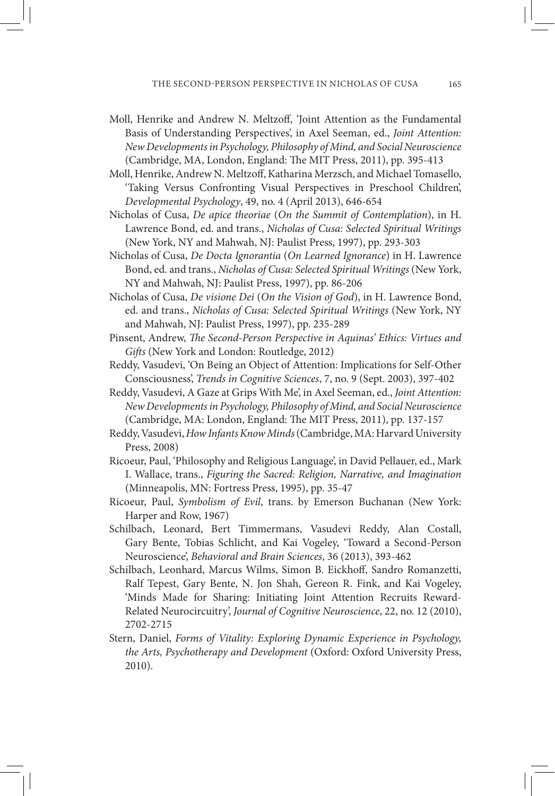- Moll, Henrike and Andrew N. Meltzoff, 'Joint Attention as the Fundamental Basis of Understanding Perspectives', in Axel Seeman, ed., *Joint Attention: New Developments in Psychology, Philosophy of Mind, and Social Neuroscience* (Cambridge, MA, London, England: The MIT Press, 2011), pp. 395-413
- Moll, Henrike, Andrew N. Meltzoff, Katharina Merzsch, and Michael Tomasello, 'Taking Versus Confronting Visual Perspectives in Preschool Children', *Developmental Psychology*, 49, no. 4 (April 2013), 646-654
- Nicholas of Cusa, *De apice theoriae* (*On the Summit of Contemplation*), in H. Lawrence Bond, ed. and trans., *Nicholas of Cusa: Selected Spiritual Writings* (New York, NY and Mahwah, NJ: Paulist Press, 1997), pp. 293-303
- Nicholas of Cusa, *De Docta Ignorantia* (*On Learned Ignorance*) in H. Lawrence Bond, ed. and trans., *Nicholas of Cusa: Selected Spiritual Writings* (New York, NY and Mahwah, NJ: Paulist Press, 1997), pp. 86-206
- Nicholas of Cusa, *De visione Dei* (*On the Vision of God*), in H. Lawrence Bond, ed. and trans., *Nicholas of Cusa: Selected Spiritual Writings* (New York, NY and Mahwah, NJ: Paulist Press, 1997), pp. 235-289
- Pinsent, Andrew, *The Second-Person Perspective in Aquinas' Ethics: Virtues and Gifts* (New York and London: Routledge, 2012)
- Reddy, Vasudevi, 'On Being an Object of Attention: Implications for Self-Other Consciousness', *Trends in Cognitive Sciences*, 7, no. 9 (Sept. 2003), 397-402
- Reddy, Vasudevi, A Gaze at Grips With Me', in Axel Seeman, ed., *Joint Attention: New Developments in Psychology, Philosophy of Mind, and Social Neuroscience* (Cambridge, MA: London, England: The MIT Press, 2011), pp. 137-157
- Reddy, Vasudevi, *How Infants Know Minds* (Cambridge, MA: Harvard University Press, 2008)
- Ricoeur, Paul, 'Philosophy and Religious Language', in David Pellauer, ed., Mark I. Wallace, trans., *Figuring the Sacred: Religion, Narrative, and Imagination*  (Minneapolis, MN: Fortress Press, 1995), pp. 35-47
- Ricoeur, Paul, *Symbolism of Evil*, trans. by Emerson Buchanan (New York: Harper and Row, 1967)
- Schilbach, Leonard, Bert Timmermans, Vasudevi Reddy, Alan Costall, Gary Bente, Tobias Schlicht, and Kai Vogeley, 'Toward a Second-Person Neuroscience', *Behavioral and Brain Sciences*, 36 (2013), 393-462
- Schilbach, Leonhard, Marcus Wilms, Simon B. Eickhoff, Sandro Romanzetti, Ralf Tepest, Gary Bente, N. Jon Shah, Gereon R. Fink, and Kai Vogeley, 'Minds Made for Sharing: Initiating Joint Attention Recruits Reward-Related Neurocircuitry', *Journal of Cognitive Neuroscience*, 22, no. 12 (2010), 2702-2715
- Stern, Daniel, *Forms of Vitality: Exploring Dynamic Experience in Psychology, the Arts, Psychotherapy and Development* (Oxford: Oxford University Press, 2010).